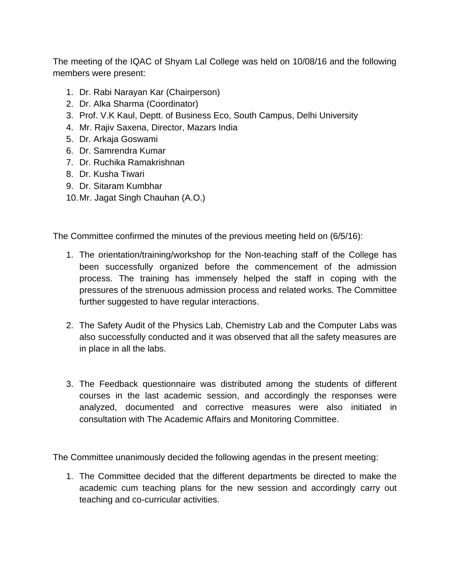The meeting of the IQAC of Shyam Lal College was held on 10/08/16 and the following members were present:

- 1. Dr. Rabi Narayan Kar (Chairperson)
- 2. Dr. Alka Sharma (Coordinator)
- 3. Prof. V.K Kaul, Deptt. of Business Eco, South Campus, Delhi University
- 4. Mr. Rajiv Saxena, Director, Mazars India
- 5. Dr. Arkaja Goswami
- 6. Dr. Samrendra Kumar
- 7. Dr. Ruchika Ramakrishnan
- 8. Dr. Kusha Tiwari
- 9. Dr. Sitaram Kumbhar
- 10.Mr. Jagat Singh Chauhan (A.O.)

The Committee confirmed the minutes of the previous meeting held on (6/5/16):

- 1. The orientation/training/workshop for the Non-teaching staff of the College has been successfully organized before the commencement of the admission process. The training has immensely helped the staff in coping with the pressures of the strenuous admission process and related works. The Committee further suggested to have regular interactions.
- 2. The Safety Audit of the Physics Lab, Chemistry Lab and the Computer Labs was also successfully conducted and it was observed that all the safety measures are in place in all the labs.
- 3. The Feedback questionnaire was distributed among the students of different courses in the last academic session, and accordingly the responses were analyzed, documented and corrective measures were also initiated in consultation with The Academic Affairs and Monitoring Committee.

The Committee unanimously decided the following agendas in the present meeting:

1. The Committee decided that the different departments be directed to make the academic cum teaching plans for the new session and accordingly carry out teaching and co-curricular activities.